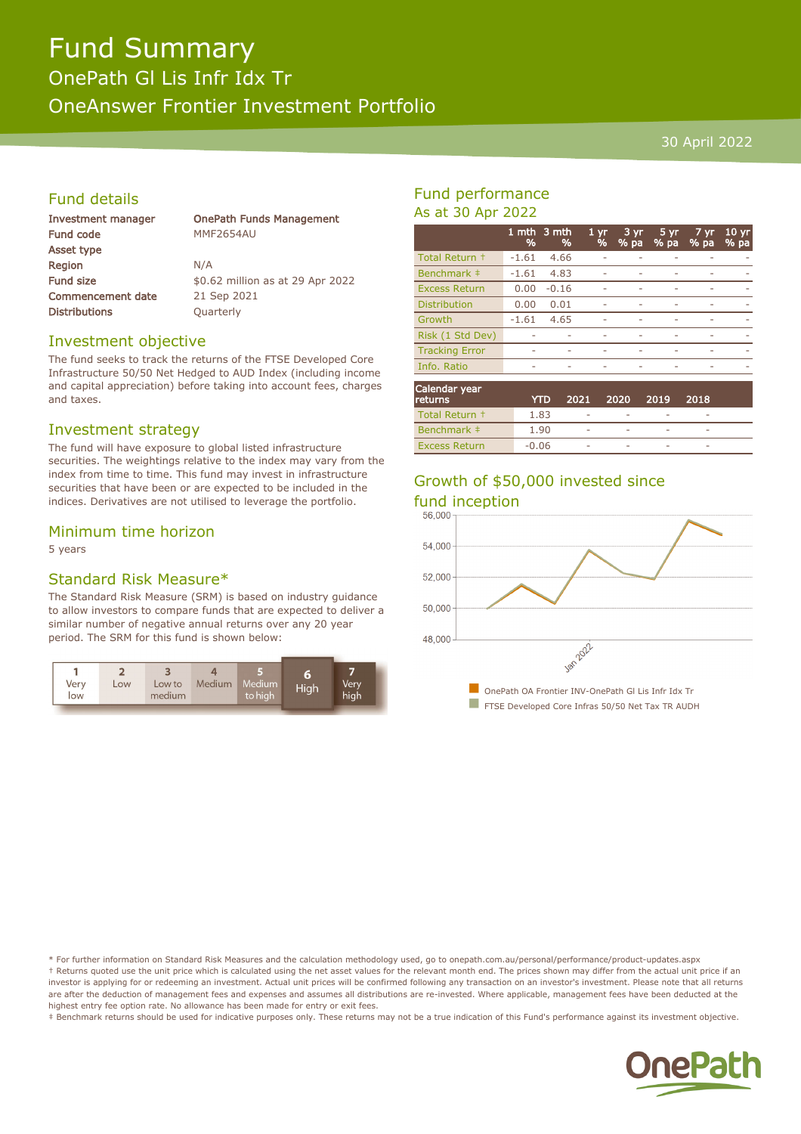# Fund Summary

OnePath Gl Lis Infr Idx Tr OneAnswer Frontier Investment Portfolio

#### 30 April 2022

#### Fund details

| Investment manager       | <b>OnePath Funds Management</b>  |
|--------------------------|----------------------------------|
| Fund code                | MMF2654AU                        |
| Asset type               |                                  |
| Region                   | N/A                              |
| <b>Fund size</b>         | \$0.62 million as at 29 Apr 2022 |
| <b>Commencement date</b> | 21 Sep 2021                      |
| <b>Distributions</b>     | Quarterly                        |
|                          |                                  |

#### Investment objective

The fund seeks to track the returns of the FTSE Developed Core Infrastructure 50/50 Net Hedged to AUD Index (including income and capital appreciation) before taking into account fees, charges and taxes.

#### Investment strategy

The fund will have exposure to global listed infrastructure securities. The weightings relative to the index may vary from the index from time to time. This fund may invest in infrastructure securities that have been or are expected to be included in the indices. Derivatives are not utilised to leverage the portfolio.

#### Minimum time horizon

5 years

#### Standard Risk Measure\*

The Standard Risk Measure (SRM) is based on industry guidance to allow investors to compare funds that are expected to deliver a similar number of negative annual returns over any 20 year period. The SRM for this fund is shown below:



#### Fund performance As at 30 Apr 2022

|                       | 1 mth<br>% | $\overline{\phantom{a}}$ 3 mth<br>% | 1 yr<br>% | 3 yr<br>$%$ pa | $5 \, yr$<br>$%$ pa | 7 yr<br>% pa | $10 \,\mathrm{yr}$<br>% pa |
|-----------------------|------------|-------------------------------------|-----------|----------------|---------------------|--------------|----------------------------|
| Total Return +        | $-1.61$    | 4.66                                |           |                |                     |              |                            |
| Benchmark ‡           | $-1.61$    | 4.83                                |           |                |                     |              |                            |
| <b>Excess Return</b>  | 0.00       | $-0.16$                             |           |                |                     |              |                            |
| <b>Distribution</b>   | 0.00       | 0.01                                | ۰         |                |                     |              | $\overline{\phantom{a}}$   |
| Growth                | $-1.61$    | 4.65                                | ۰         |                |                     |              |                            |
| Risk (1 Std Dev)      |            |                                     |           |                |                     |              |                            |
| <b>Tracking Error</b> | -          | ۰                                   |           |                |                     |              |                            |
| Info. Ratio           | ۰          |                                     | -         |                | ۰                   |              |                            |
|                       |            |                                     |           |                |                     |              |                            |

| Calendar year<br>returns | YTD.    | 2021        | . 2020 | 2019 | 2018        |  |
|--------------------------|---------|-------------|--------|------|-------------|--|
| Total Return +           | 1.83    | ۰           |        |      | $\,$        |  |
| Benchmark #              | 1.90    | <b>STAR</b> |        |      | <b>STAR</b> |  |
| <b>Excess Return</b>     | $-0.06$ | <b>STAR</b> |        |      | <b>STAR</b> |  |

### Growth of \$50,000 invested since



\* For further information on Standard Risk Measures and the calculation methodology used, go to onepath.com.au/personal/performance/product-updates.aspx † Returns quoted use the unit price which is calculated using the net asset values for the relevant month end. The prices shown may differ from the actual unit price if an investor is applying for or redeeming an investment. Actual unit prices will be confirmed following any transaction on an investor's investment. Please note that all returns are after the deduction of management fees and expenses and assumes all distributions are re-invested. Where applicable, management fees have been deducted at the highest entry fee option rate. No allowance has been made for entry or exit fees.

‡ Benchmark returns should be used for indicative purposes only. These returns may not be a true indication of this Fund's performance against its investment objective.